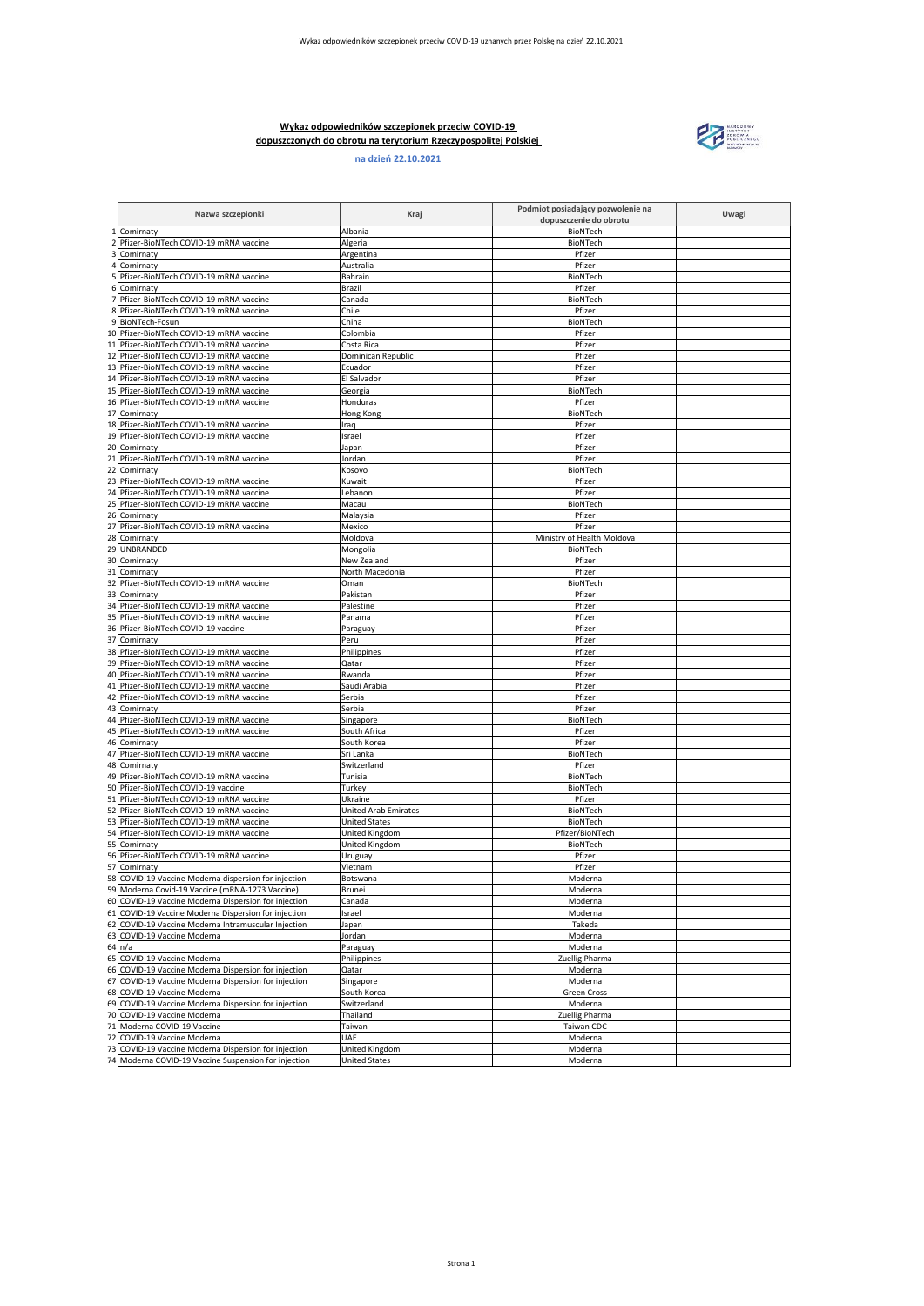## **Wykaz odpowiedników szczepionek przeciw COVID-19 dopuszczonych do obrotu na terytorium Rzeczypospolitej Polskiej**





|                         | Nazwa szczepionki                                                                                            | Kraj                                   | Podmiot posiadający pozwolenie na<br>dopuszczenie do obrotu | Uwagi |
|-------------------------|--------------------------------------------------------------------------------------------------------------|----------------------------------------|-------------------------------------------------------------|-------|
|                         | 1 Comirnaty                                                                                                  | Albania                                | BioNTech                                                    |       |
| $\overline{\mathbf{2}}$ | Pfizer-BioNTech COVID-19 mRNA vaccine                                                                        | Algeria                                | BioNTech                                                    |       |
| 3                       | Comirnaty                                                                                                    | Argentina                              | Pfizer                                                      |       |
| 4<br>5                  | Comirnaty<br>Pfizer-BioNTech COVID-19 mRNA vaccine                                                           | Australia<br>Bahrain                   | Pfizer<br>BioNTech                                          |       |
| 6                       | Comirnaty                                                                                                    | Brazil                                 | Pfizer                                                      |       |
| 7                       | Pfizer-BioNTech COVID-19 mRNA vaccine                                                                        | Canada                                 | BioNTech                                                    |       |
|                         | 8 Pfizer-BioNTech COVID-19 mRNA vaccine                                                                      | Chile                                  | Pfizer                                                      |       |
|                         | 9 BioNTech-Fosun                                                                                             | China                                  | BioNTech                                                    |       |
|                         | 10 Pfizer-BioNTech COVID-19 mRNA vaccine                                                                     | Colombia                               | Pfizer                                                      |       |
|                         | 11 Pfizer-BioNTech COVID-19 mRNA vaccine                                                                     | Costa Rica                             | Pfizer                                                      |       |
| 12                      | Pfizer-BioNTech COVID-19 mRNA vaccine                                                                        | Dominican Republic                     | Pfizer                                                      |       |
|                         | 13 Pfizer-BioNTech COVID-19 mRNA vaccine<br>14 Pfizer-BioNTech COVID-19 mRNA vaccine                         | Ecuador<br>El Salvador                 | Pfizer<br>Pfizer                                            |       |
|                         | 15 Pfizer-BioNTech COVID-19 mRNA vaccine                                                                     | Georgia                                | BioNTech                                                    |       |
|                         | 16 Pfizer-BioNTech COVID-19 mRNA vaccine                                                                     | Honduras                               | Pfizer                                                      |       |
|                         | 17 Comirnaty                                                                                                 | Hong Kong                              | BioNTech                                                    |       |
|                         | 18 Pfizer-BioNTech COVID-19 mRNA vaccine                                                                     | Iraq                                   | Pfizer                                                      |       |
|                         | 19 Pfizer-BioNTech COVID-19 mRNA vaccine                                                                     | Israel                                 | Pfizer                                                      |       |
|                         | 20 Comirnaty                                                                                                 | Japan                                  | Pfizer                                                      |       |
|                         | 21 Pfizer-BioNTech COVID-19 mRNA vaccine<br>22 Comirnaty                                                     | Jordan                                 | Pfizer                                                      |       |
|                         | 23 Pfizer-BioNTech COVID-19 mRNA vaccine                                                                     | Kosovo<br>Kuwait                       | BioNTech<br>Pfizer                                          |       |
|                         | 24 Pfizer-BioNTech COVID-19 mRNA vaccine                                                                     | _ebanon                                | Pfizer                                                      |       |
| 25                      | Pfizer-BioNTech COVID-19 mRNA vaccine                                                                        | Macau                                  | BioNTech                                                    |       |
|                         | 26 Comirnaty                                                                                                 | Malaysia                               | Pfizer                                                      |       |
|                         | 27 Pfizer-BioNTech COVID-19 mRNA vaccine                                                                     | Mexico                                 | Pfizer                                                      |       |
|                         | 28 Comirnaty                                                                                                 | Moldova                                | Ministry of Health Moldova                                  |       |
|                         | 29 UNBRANDED                                                                                                 | Mongolia                               | BioNTech                                                    |       |
| 31                      | 30 Comirnaty<br>Comirnaty                                                                                    | New Zealand<br>North Macedonia         | Pfizer<br>Pfizer                                            |       |
|                         | 32 Pfizer-BioNTech COVID-19 mRNA vaccine                                                                     | Oman                                   | BioNTech                                                    |       |
|                         | 33 Comirnaty                                                                                                 | Pakistan                               | Pfizer                                                      |       |
| 34                      | Pfizer-BioNTech COVID-19 mRNA vaccine                                                                        | Palestine                              | Pfizer                                                      |       |
|                         | 35 Pfizer-BioNTech COVID-19 mRNA vaccine                                                                     | Panama                                 | Pfizer                                                      |       |
|                         | 36 Pfizer-BioNTech COVID-19 vaccine                                                                          | Paraguay                               | Pfizer                                                      |       |
|                         | 37 Comirnaty                                                                                                 | Peru                                   | Pfizer<br>Pfizer                                            |       |
|                         | 38 Pfizer-BioNTech COVID-19 mRNA vaccine<br>39 Pfizer-BioNTech COVID-19 mRNA vaccine                         | Philippines<br>Qatar                   | Pfizer                                                      |       |
|                         | 40 Pfizer-BioNTech COVID-19 mRNA vaccine                                                                     | Rwanda                                 | Pfizer                                                      |       |
|                         | 41 Pfizer-BioNTech COVID-19 mRNA vaccine                                                                     | Saudi Arabia                           | Pfizer                                                      |       |
|                         | 42 Pfizer-BioNTech COVID-19 mRNA vaccine                                                                     | Serbia                                 | Pfizer                                                      |       |
|                         | 43 Comirnaty                                                                                                 | Serbia                                 | Pfizer                                                      |       |
|                         | 44 Pfizer-BioNTech COVID-19 mRNA vaccine                                                                     | Singapore                              | BioNTech                                                    |       |
|                         | 45 Pfizer-BioNTech COVID-19 mRNA vaccine<br>46 Comirnaty                                                     | South Africa<br>South Korea            | Pfizer<br>Pfizer                                            |       |
| 47                      | Pfizer-BioNTech COVID-19 mRNA vaccine                                                                        | Sri Lanka                              | BioNTech                                                    |       |
|                         | 48 Comirnaty                                                                                                 | Switzerland                            | Pfizer                                                      |       |
|                         | 49 Pfizer-BioNTech COVID-19 mRNA vaccine                                                                     | Tunisia                                | BioNTech                                                    |       |
|                         | 50 Pfizer-BioNTech COVID-19 vaccine                                                                          | Turkey                                 | BioNTech                                                    |       |
|                         | 51 Pfizer-BioNTech COVID-19 mRNA vaccine                                                                     | Ukraine                                | Pfizer                                                      |       |
| 52                      | Pfizer-BioNTech COVID-19 mRNA vaccine                                                                        | <b>United Arab Emirates</b>            | BioNTech                                                    |       |
|                         | 53 Pfizer-BioNTech COVID-19 mRNA vaccine<br>54 Pfizer-BioNTech COVID-19 mRNA vaccine                         | <b>United States</b><br>United Kingdom | BioNTech<br>Pfizer/BioNTech                                 |       |
|                         | 55 Comirnaty                                                                                                 | United Kingdom                         | BioNTech                                                    |       |
|                         | 56 Pfizer-BioNTech COVID-19 mRNA vaccine                                                                     | Uruguay                                | Pfizer                                                      |       |
|                         | 57 Comirnaty                                                                                                 | Vietnam                                | Pfizer                                                      |       |
|                         | 58 COVID-19 Vaccine Moderna dispersion for injection                                                         | Botswana                               | Moderna                                                     |       |
|                         | 59 Moderna Covid-19 Vaccine (mRNA-1273 Vaccine)                                                              | Brunei                                 | Moderna                                                     |       |
|                         | 60 COVID-19 Vaccine Moderna Dispersion for injection<br>61 COVID-19 Vaccine Moderna Dispersion for injection | Canada<br>Israel                       | Moderna<br>Moderna                                          |       |
|                         | 62 COVID-19 Vaccine Moderna Intramuscular Injection                                                          | Japan                                  | Takeda                                                      |       |
|                         | 63 COVID-19 Vaccine Moderna                                                                                  | Jordan                                 | Moderna                                                     |       |
|                         | 64 n/a                                                                                                       | Paraguay                               | Moderna                                                     |       |
|                         | 65 COVID-19 Vaccine Moderna                                                                                  | Philippines                            | Zuellig Pharma                                              |       |
|                         | 66 COVID-19 Vaccine Moderna Dispersion for injection                                                         | Qatar                                  | Moderna                                                     |       |
| 67                      | COVID-19 Vaccine Moderna Dispersion for injection                                                            | Singapore                              | Moderna                                                     |       |
|                         | 68 COVID-19 Vaccine Moderna<br>69 COVID-19 Vaccine Moderna Dispersion for injection                          | South Korea                            | Green Cross<br>Moderna                                      |       |
|                         | 70 COVID-19 Vaccine Moderna                                                                                  | Switzerland<br>Thailand                | Zuellig Pharma                                              |       |
|                         | 71 Moderna COVID-19 Vaccine                                                                                  | Taiwan                                 | Taiwan CDC                                                  |       |
|                         | 72 COVID-19 Vaccine Moderna                                                                                  | UAE                                    | Moderna                                                     |       |
|                         | 73 COVID-19 Vaccine Moderna Dispersion for injection                                                         | United Kingdom                         | Moderna                                                     |       |
|                         | 74 Moderna COVID-19 Vaccine Suspension for injection                                                         | <b>United States</b>                   | Moderna                                                     |       |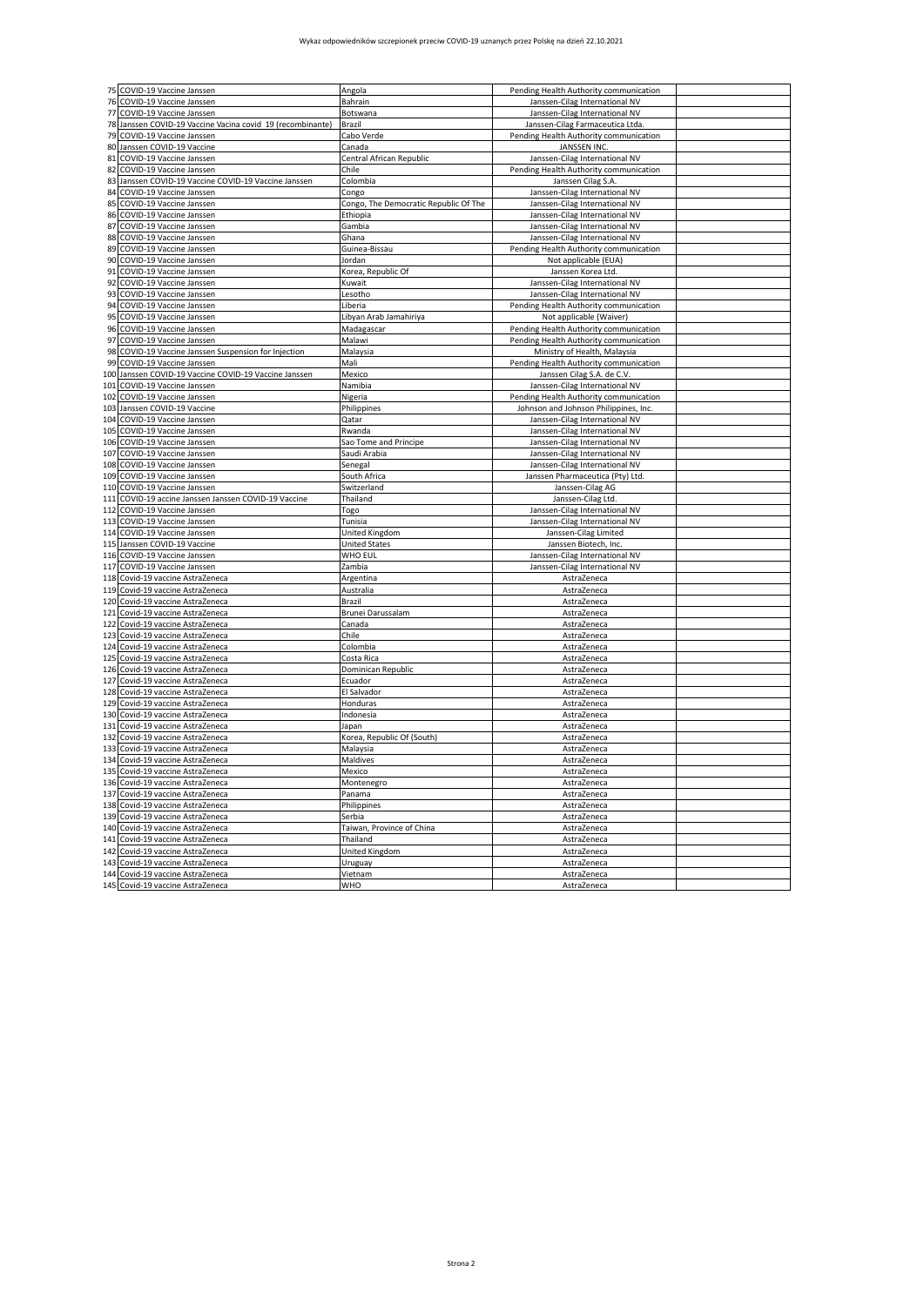## Wykaz odpowiedników szczepionek przeciw COVID-19 uznanych przez Polskę na dzień 22.10.2021

|            | 75 COVID-19 Vaccine Janssen                                  | Angola                                | Pending Health Authority communication                                   |  |
|------------|--------------------------------------------------------------|---------------------------------------|--------------------------------------------------------------------------|--|
| 76         | COVID-19 Vaccine Janssen                                     | Bahrain                               | Janssen-Cilag International NV                                           |  |
| 77         | COVID-19 Vaccine Janssen                                     | Botswana                              | Janssen-Cilag International NV                                           |  |
|            | 78 Janssen COVID-19 Vaccine Vacina covid 19 (recombinante)   | Brazil                                | Janssen-Cilag Farmaceutica Ltda                                          |  |
| 79         | COVID-19 Vaccine Janssen                                     | Cabo Verde                            | Pending Health Authority communication                                   |  |
| 80         | Janssen COVID-19 Vaccine                                     | Canada                                | <b>JANSSEN INC.</b>                                                      |  |
| 81         | COVID-19 Vaccine Janssen                                     | Central African Republic              | Janssen-Cilag International NV                                           |  |
| 82         | COVID-19 Vaccine Janssen                                     | Chile                                 | Pending Health Authority communication                                   |  |
| 83         | Janssen COVID-19 Vaccine COVID-19 Vaccine Janssen            | Colombia                              | Janssen Cilag S.A.                                                       |  |
| 84         | COVID-19 Vaccine Janssen                                     | Congo                                 | Janssen-Cilag International NV                                           |  |
| 85         | COVID-19 Vaccine Janssen                                     | Congo, The Democratic Republic Of The | Janssen-Cilag International NV                                           |  |
| 86         | COVID-19 Vaccine Janssen                                     | Ethiopia                              | Janssen-Cilag International NV                                           |  |
| 87         | COVID-19 Vaccine Janssen                                     | Gambia                                | Janssen-Cilag International NV                                           |  |
| 88         | COVID-19 Vaccine Janssen                                     | Ghana                                 | Janssen-Cilag International NV                                           |  |
| 89         | COVID-19 Vaccine Janssen                                     | Guinea-Bissau                         | Pending Health Authority communication                                   |  |
| 90         | COVID-19 Vaccine Janssen                                     | Jordan                                | Not applicable (EUA)                                                     |  |
| 91         | COVID-19 Vaccine Janssen                                     | Korea, Republic Of                    | Janssen Korea Ltd.                                                       |  |
| 92         | COVID-19 Vaccine Janssen                                     | Kuwait                                | Janssen-Cilag International NV                                           |  |
| 93         | COVID-19 Vaccine Janssen                                     | Lesotho                               | Janssen-Cilag International NV                                           |  |
| 94         | COVID-19 Vaccine Janssen                                     | Liberia                               | Pending Health Authority communication                                   |  |
| 95         | COVID-19 Vaccine Janssen                                     | Libyan Arab Jamahiriya                | Not applicable (Waiver)                                                  |  |
| 96         | COVID-19 Vaccine Janssen                                     | Madagascar                            | Pending Health Authority communication                                   |  |
| 97         | COVID-19 Vaccine Janssen                                     | Malawi                                | Pending Health Authority communication                                   |  |
| 98         | COVID-19 Vaccine Janssen Suspension for Injection            | Malaysia                              | Ministry of Health, Malaysia                                             |  |
| 99         | COVID-19 Vaccine Janssen                                     | Mali                                  | Pending Health Authority communication                                   |  |
| 100        | Janssen COVID-19 Vaccine COVID-19 Vaccine Janssen            | Mexico<br>Namibia                     | Janssen Cilag S.A. de C.V.                                               |  |
| 101<br>102 | COVID-19 Vaccine Janssen<br>COVID-19 Vaccine Janssen         |                                       | Janssen-Cilag International NV<br>Pending Health Authority communication |  |
| 103        | Janssen COVID-19 Vaccine                                     | Nigeria                               |                                                                          |  |
| 104        | COVID-19 Vaccine Janssen                                     | Philippines<br>Qatar                  | Johnson and Johnson Philippines, Inc.<br>Janssen-Cilag International NV  |  |
| 105        | COVID-19 Vaccine Janssen                                     | Rwanda                                | Janssen-Cilag International NV                                           |  |
| 106        | COVID-19 Vaccine Janssen                                     | Sao Tome and Principe                 | Janssen-Cilag International NV                                           |  |
| 107        | COVID-19 Vaccine Janssen                                     | Saudi Arabia                          | Janssen-Cilag International NV                                           |  |
| 108        | COVID-19 Vaccine Janssen                                     | Senegal                               | Janssen-Cilag International NV                                           |  |
| 109        | COVID-19 Vaccine Janssen                                     | South Africa                          | Janssen Pharmaceutica (Pty) Ltd.                                         |  |
| 110        | COVID-19 Vaccine Janssen                                     | Switzerland                           | Janssen-Cilag AG                                                         |  |
| 111        | COVID-19 accine Janssen Janssen COVID-19 Vaccine             | Thailand                              | Janssen-Cilag Ltd.                                                       |  |
| 112        | COVID-19 Vaccine Janssen                                     | Togo                                  | Janssen-Cilag International NV                                           |  |
| 113        | COVID-19 Vaccine Janssen                                     | Tunisia                               | Janssen-Cilag International NV                                           |  |
|            | 114 COVID-19 Vaccine Janssen                                 | United Kingdom                        | Janssen-Cilag Limited                                                    |  |
| 115        | Janssen COVID-19 Vaccine                                     | United States                         | Janssen Biotech, Inc                                                     |  |
| 116        | COVID-19 Vaccine Janssen                                     | WHO EUL                               | Janssen-Cilag International NV                                           |  |
| 117        | COVID-19 Vaccine Janssen                                     | Zambia                                | Janssen-Cilag International NV                                           |  |
| 118        | Covid-19 vaccine AstraZeneca                                 | Argentina                             | AstraZeneca                                                              |  |
| 119        | Covid-19 vaccine AstraZeneca                                 | Australia                             | AstraZeneca                                                              |  |
| 120        | Covid-19 vaccine AstraZeneca                                 | Brazil                                | AstraZeneca                                                              |  |
| 121        | Covid-19 vaccine AstraZeneca                                 | Brunei Darussalam                     | AstraZeneca                                                              |  |
| 122        | Covid-19 vaccine AstraZeneca                                 | Canada                                | AstraZeneca                                                              |  |
| 123        | Covid-19 vaccine AstraZeneca                                 | Chile                                 | AstraZeneca                                                              |  |
| 124        | Covid-19 vaccine AstraZeneca                                 | Colombia                              | AstraZeneca                                                              |  |
| 125        | Covid-19 vaccine AstraZeneca                                 | Costa Rica<br>Dominican Republic      | AstraZeneca                                                              |  |
| 126<br>127 | Covid-19 vaccine AstraZeneca                                 | Ecuador                               | AstraZeneca                                                              |  |
|            | Covid-19 vaccine AstraZeneca                                 |                                       | AstraZeneca                                                              |  |
| 128<br>129 | Covid-19 vaccine AstraZeneca<br>Covid-19 vaccine AstraZeneca | El Salvador<br>Honduras               | AstraZeneca<br>AstraZeneca                                               |  |
| 130        | Covid-19 vaccine AstraZeneca                                 | Indonesia                             | AstraZeneca                                                              |  |
| 131        | Covid-19 vaccine AstraZeneca                                 | Japan                                 | AstraZeneca                                                              |  |
|            | 132 Covid-19 vaccine AstraZeneca                             | Korea, Republic Of (South)            | AstraZeneca                                                              |  |
| 133        | Covid-19 vaccine AstraZeneca                                 | Malaysia                              | AstraZeneca                                                              |  |
| 134        | Covid-19 vaccine AstraZeneca                                 | Maldives                              | AstraZeneca                                                              |  |
| 135        | Covid-19 vaccine AstraZeneca                                 | Mexico                                | AstraZeneca                                                              |  |
| 136        | Covid-19 vaccine AstraZeneca                                 | Montenegro                            | AstraZeneca                                                              |  |
| 137        | Covid-19 vaccine AstraZeneca                                 | Panama                                | AstraZeneca                                                              |  |
| 138        | Covid-19 vaccine AstraZeneca                                 | Philippines                           | AstraZeneca                                                              |  |
| 139        | Covid-19 vaccine AstraZeneca                                 | Serbia                                | AstraZeneca                                                              |  |
|            | 140 Covid-19 vaccine AstraZeneca                             | Taiwan, Province of China             | AstraZeneca                                                              |  |
| 141        | Covid-19 vaccine AstraZeneca                                 | Thailand                              | AstraZeneca                                                              |  |
| 142        | Covid-19 vaccine AstraZeneca                                 | United Kingdom                        | AstraZeneca                                                              |  |
| 143        | Covid-19 vaccine AstraZeneca                                 | Uruguay                               | AstraZeneca                                                              |  |
| 144        | Covid-19 vaccine AstraZeneca                                 | Vietnam                               | AstraZeneca                                                              |  |
|            | 145 Covid-19 vaccine AstraZeneca                             | WHO                                   | AstraZeneca                                                              |  |